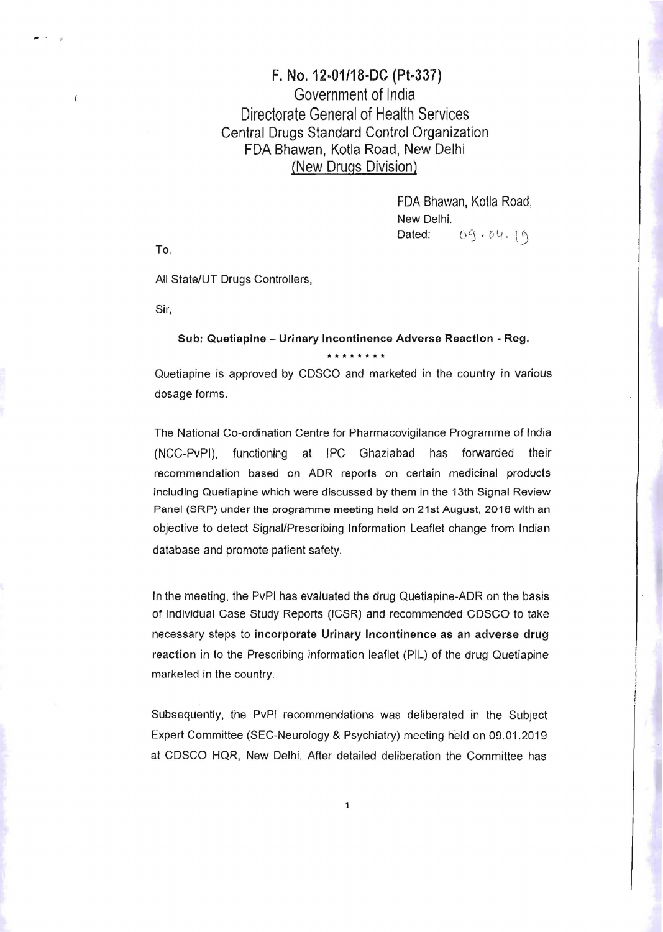## F. No. 12-01/18-DC (Pt-337) Government of India Directorate General of Health Services Central Drugs Standard Control Organization FDA Bhawan, Kotla Road, New Delhi (New Drugs Division)

FDA Bhawan, Kotla Road, New Delhi. Dated:  $0.69.04.19$ 

To,

All State/UT Drugs Controllers,

Sir,

## Sub: Quetiaplne - Urinary Incontinence Adverse Reaction - Reg. **'ltle •••• \*\***

Quetiapine is approved by CDSCO and marketed in the country in various dosage forms.

The National Co-ordination Centre for Pharmacovigilance Programme of India (NCC-PvPI), functioning at IPC Ghaziabad has forwarded their recommendation based on ADR reports on certain medicinal products including Quetiapine which were discussed by them in the 13th Signal Review Panel (SRP) under the programme meeting held on 21st August, 2018 with an objective to detect Signal/Prescribing Information Leaflet change from Indian database and promote patient safety.

In the meeting, the PvPI has evaluated the drug Quetiapine-ADR on the basis of Individual Case Study Reports (ICSR) and recommended CDSCO to take necessary steps to incorporate Urinary Incontinence as an adverse drug reaction in to the Prescribing information leaflet (PIL) of the drug Quetiapine marketed in the country.

Subsequently, the PvPI recommendations was deliberated in the Subject Expert Committee (SEC-Neurology & Psychiatry) meeting held on 09.01.2019 at CDSCO HQR, New Delhi. After detailed deliberation the Committee has